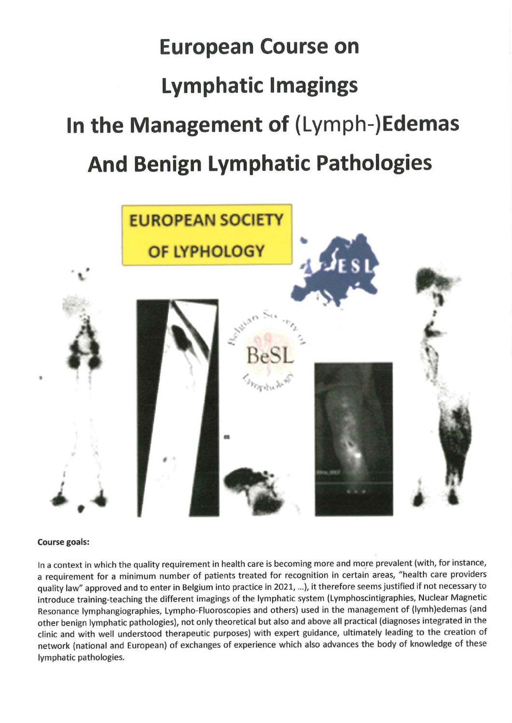# **European Course on Lymphatic lmagings ln the Management of (Lymph-)Edemas And Benign Lymphatic Pathologies**



#### **Course goals:**

In a context in which the quality requirement in health care is becoming more and more prevalent (with, for instance, a requirement for a minimum number of patients treated for recognition in certain areas, "health care providers quality law" approved and to enter in Belgium into practice in 2021, ... ), it therefore seems justified if not necessary to introduce training-teaching the different imagings of the lymphatic system (Lymphoscintigraphies, Nuclear Magnetic Resonance lymphangiographies, Lympho-Fluoroscopies and others) used in the management of (lymh)edemas (and other benign lymphatic pathologies), not only theoretical but also and above all practical {diagnoses integrated in the clinic and with well understood therapeutic purposes) with expert guidance, ultimately leading to the creation of network (national and European) of exchanges of experience which also advances the body of knowledge of these lymphatic pathologies.